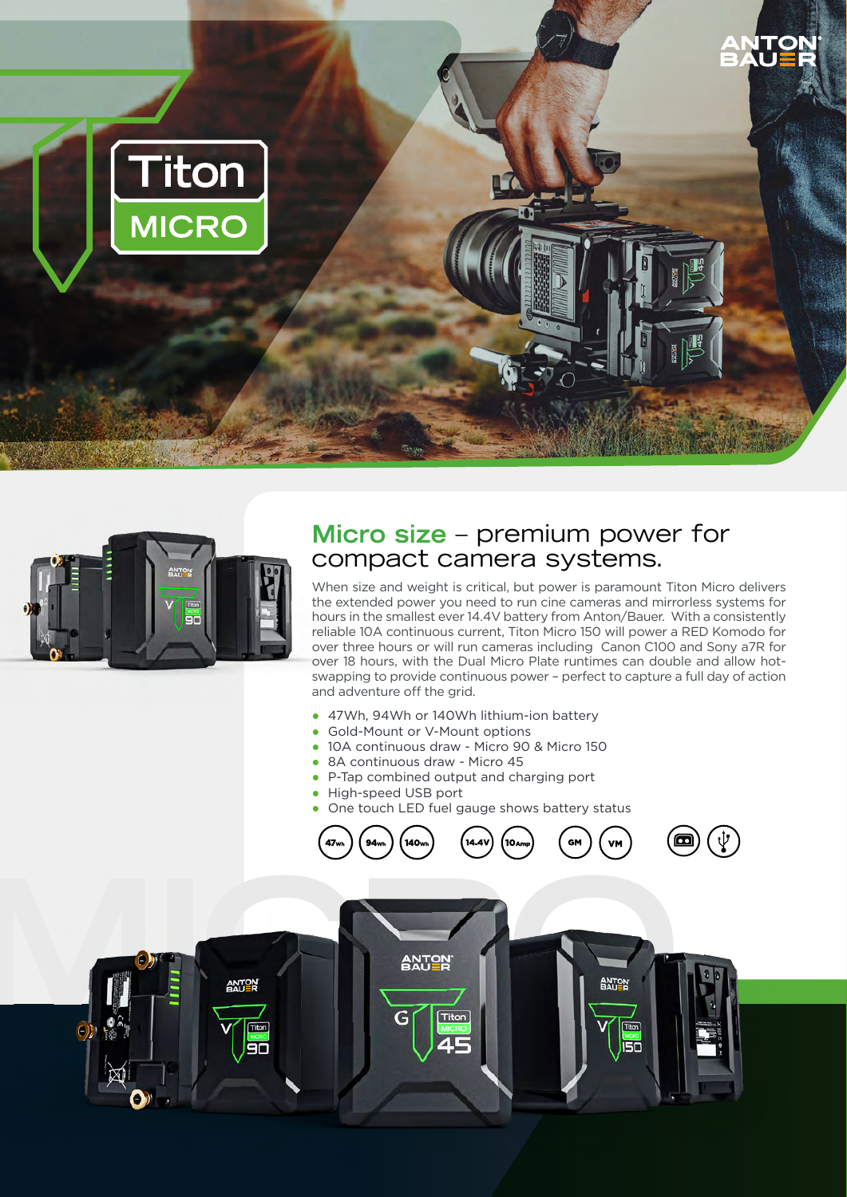



# **Micro size** – premium power for compact camera systems.

When size and weight is critical, but power is paramount Titon Micro delivers the extended power you need to run cine cameras and mirrorless systems for hours in the smallest ever 14.4V battery from Anton/Bauer. With a consistently reliable 10A continuous current, Titon Micro 150 will power a RED Komodo for over three hours or will run cameras including Canon C100 and Sony a7R for over 18 hours, with the Dual Micro Plate runtimes can double and allow hotswapping to provide continuous power – perfect to capture a full day of action and adventure off the grid.

- 47Wh, 94Wh or 140Wh lithium-ion battery
- Gold-Mount or V-Mount options
- 10A continuous draw Micro 90 & Micro 150
- 8A continuous draw Micro 45
- P-Tap combined output and charging port
- High-speed USB port
- One touch LED fuel gauge shows battery status